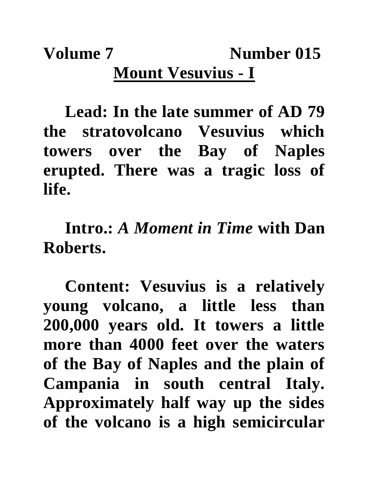## **Volume 7** Number 015 **Mount Vesuvius - I**

**Lead: In the late summer of AD 79 the stratovolcano Vesuvius which towers over the Bay of Naples erupted. There was a tragic loss of life.**

**Intro.:** *A Moment in Time* **with Dan Roberts.**

**Content: Vesuvius is a relatively young volcano, a little less than 200,000 years old. It towers a little more than 4000 feet over the waters of the Bay of Naples and the plain of Campania in south central Italy. Approximately half way up the sides of the volcano is a high semicircular**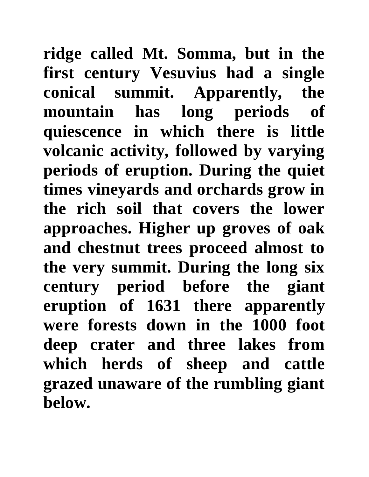**ridge called Mt. Somma, but in the first century Vesuvius had a single conical summit. Apparently, the mountain has long periods of quiescence in which there is little volcanic activity, followed by varying periods of eruption. During the quiet times vineyards and orchards grow in the rich soil that covers the lower approaches. Higher up groves of oak and chestnut trees proceed almost to the very summit. During the long six century period before the giant eruption of 1631 there apparently were forests down in the 1000 foot deep crater and three lakes from which herds of sheep and cattle grazed unaware of the rumbling giant below.**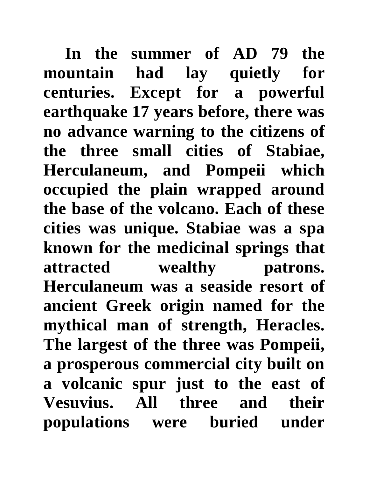In the summer of AD 79 the **mountain had lay quietly for centuries. Except for a powerful earthquake 17 years before, there was no advance warning to the citizens of the three small cities of Stabiae, Herculaneum, and Pompeii which occupied the plain wrapped around the base of the volcano. Each of these cities was unique. Stabiae was a spa known for the medicinal springs that attracted wealthy patrons. Herculaneum was a seaside resort of ancient Greek origin named for the mythical man of strength, Heracles. The largest of the three was Pompeii, a prosperous commercial city built on a volcanic spur just to the east of Vesuvius. All three and their populations were buried under**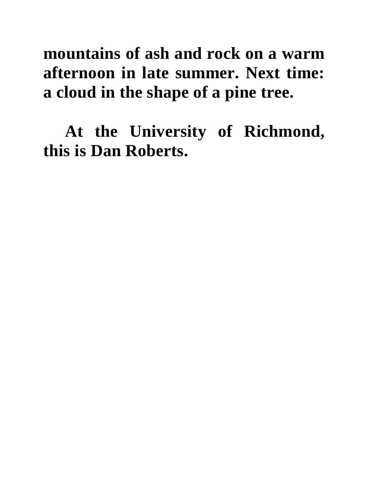## **mountains of ash and rock on a warm afternoon in late summer. Next time: a cloud in the shape of a pine tree.**

**At the University of Richmond, this is Dan Roberts.**